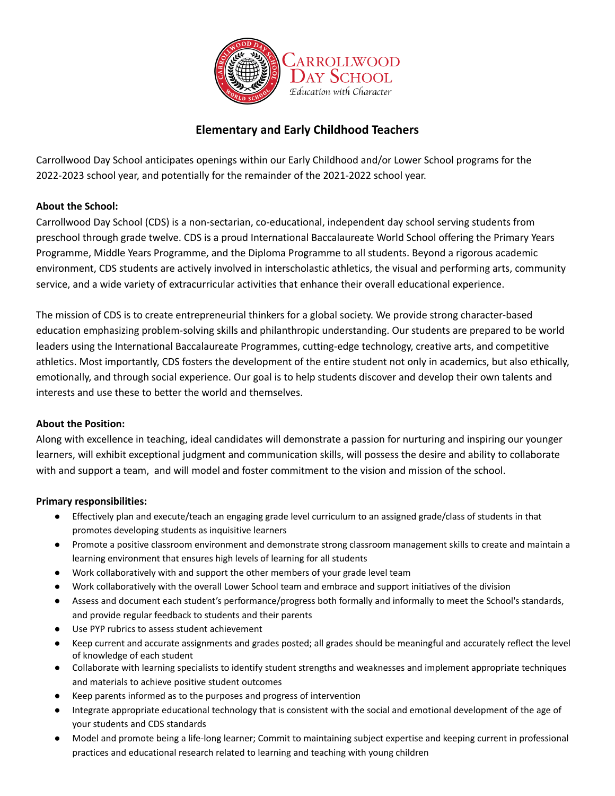

# **Elementary and Early Childhood Teachers**

Carrollwood Day School anticipates openings within our Early Childhood and/or Lower School programs for the 2022-2023 school year, and potentially for the remainder of the 2021-2022 school year.

## **About the School:**

Carrollwood Day School (CDS) is a non-sectarian, co-educational, independent day school serving students from preschool through grade twelve. CDS is a proud International Baccalaureate World School offering the Primary Years Programme, Middle Years Programme, and the Diploma Programme to all students. Beyond a rigorous academic environment, CDS students are actively involved in interscholastic athletics, the visual and performing arts, community service, and a wide variety of extracurricular activities that enhance their overall educational experience.

The mission of CDS is to create entrepreneurial thinkers for a global society. We provide strong character-based education emphasizing problem-solving skills and philanthropic understanding. Our students are prepared to be world leaders using the International Baccalaureate Programmes, cutting-edge technology, creative arts, and competitive athletics. Most importantly, CDS fosters the development of the entire student not only in academics, but also ethically, emotionally, and through social experience. Our goal is to help students discover and develop their own talents and interests and use these to better the world and themselves.

### **About the Position:**

Along with excellence in teaching, ideal candidates will demonstrate a passion for nurturing and inspiring our younger learners, will exhibit exceptional judgment and communication skills, will possess the desire and ability to collaborate with and support a team, and will model and foster commitment to the vision and mission of the school.

### **Primary responsibilities:**

- Effectively plan and execute/teach an engaging grade level curriculum to an assigned grade/class of students in that promotes developing students as inquisitive learners
- Promote a positive classroom environment and demonstrate strong classroom management skills to create and maintain a learning environment that ensures high levels of learning for all students
- Work collaboratively with and support the other members of your grade level team
- Work collaboratively with the overall Lower School team and embrace and support initiatives of the division
- Assess and document each student's performance/progress both formally and informally to meet the School's standards, and provide regular feedback to students and their parents
- Use PYP rubrics to assess student achievement
- Keep current and accurate assignments and grades posted; all grades should be meaningful and accurately reflect the level of knowledge of each student
- Collaborate with learning specialists to identify student strengths and weaknesses and implement appropriate techniques and materials to achieve positive student outcomes
- Keep parents informed as to the purposes and progress of intervention
- Integrate appropriate educational technology that is consistent with the social and emotional development of the age of your students and CDS standards
- Model and promote being a life-long learner; Commit to maintaining subject expertise and keeping current in professional practices and educational research related to learning and teaching with young children